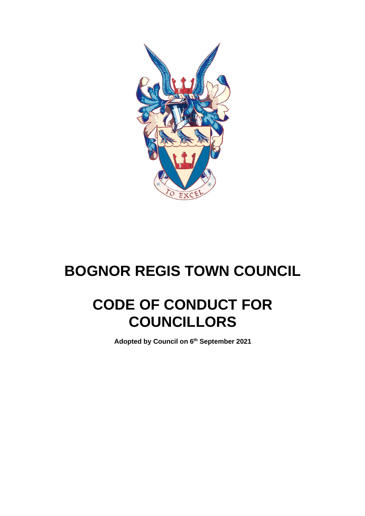

# **BOGNOR REGIS TOWN COUNCIL**

# **CODE OF CONDUCT FOR COUNCILLORS**

**Adopted by Council on 6 th September 2021**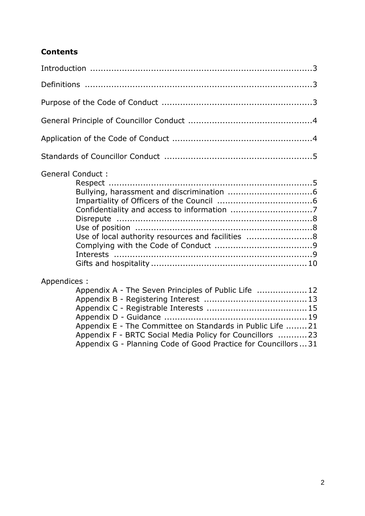# **Contents**

| <b>General Conduct:</b> | Use of local authority resources and facilities 8                                                                                                                                                                                                |  |
|-------------------------|--------------------------------------------------------------------------------------------------------------------------------------------------------------------------------------------------------------------------------------------------|--|
| Appendices :            | Appendix A - The Seven Principles of Public Life  12<br>Appendix E - The Committee on Standards in Public Life 21<br>Appendix F - BRTC Social Media Policy for Councillors 23<br>Appendix G - Planning Code of Good Practice for Councillors  31 |  |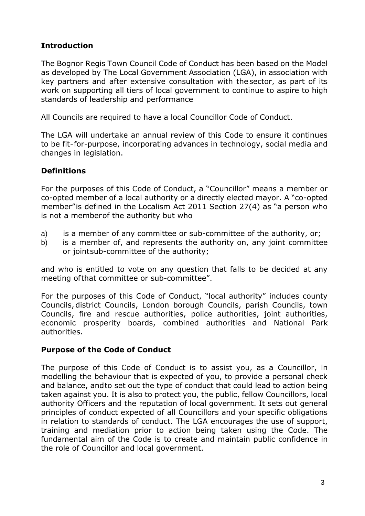# **Introduction**

The Bognor Regis Town Council Code of Conduct has been based on the Model as developed by The Local Government Association (LGA), in association with key partners and after extensive consultation with thesector, as part of its work on supporting all tiers of local government to continue to aspire to high standards of leadership and performance

All Councils are required to have a local Councillor Code of Conduct.

The LGA will undertake an annual review of this Code to ensure it continues to be fit-for-purpose, incorporating advances in technology, social media and changes in legislation.

# **Definitions**

For the purposes of this Code of Conduct, a "Councillor" means a member or co-opted member of a local authority or a directly elected mayor. A "co-opted member"is defined in the Localism Act 2011 Section 27(4) as "a person who is not a memberof the authority but who

- a) is a member of any committee or sub-committee of the authority, or;
- b) is a member of, and represents the authority on, any joint committee or jointsub-committee of the authority;

and who is entitled to vote on any question that falls to be decided at any meeting ofthat committee or sub-committee".

For the purposes of this Code of Conduct, "local authority" includes county Councils, district Councils, London borough Councils, parish Councils, town Councils, fire and rescue authorities, police authorities, joint authorities, economic prosperity boards, combined authorities and National Park authorities.

#### **Purpose of the Code of Conduct**

The purpose of this Code of Conduct is to assist you, as a Councillor, in modelling the behaviour that is expected of you, to provide a personal check and balance, andto set out the type of conduct that could lead to action being taken against you. It is also to protect you, the public, fellow Councillors, local authority Officers and the reputation of local government. It sets out general principles of conduct expected of all Councillors and your specific obligations in relation to standards of conduct. The LGA encourages the use of support, training and mediation prior to action being taken using the Code. The fundamental aim of the Code is to create and maintain public confidence in the role of Councillor and local government.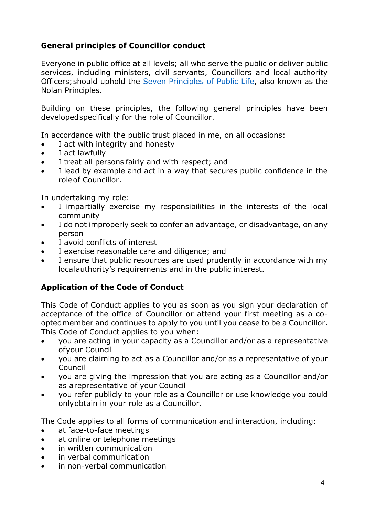# **General principles of Councillor conduct**

Everyone in public office at all levels; all who serve the public or deliver public services, including ministers, civil servants, Councillors and local authority Officers;should uphold the [Seven Principles of Public Life,](https://www.gov.uk/government/publications/the-7-principles-of-public-life/the-7-principles-of-public-life--2) also known as the Nolan Principles.

Building on these principles, the following general principles have been developedspecifically for the role of Councillor.

In accordance with the public trust placed in me, on all occasions:

- I act with integrity and honesty
- I act lawfully
- I treat all persons fairly and with respect; and
- I lead by example and act in a way that secures public confidence in the roleof Councillor.

In undertaking my role:

- I impartially exercise my responsibilities in the interests of the local community
- I do not improperly seek to confer an advantage, or disadvantage, on any person
- I avoid conflicts of interest
- I exercise reasonable care and diligence; and
- I ensure that public resources are used prudently in accordance with my localauthority's requirements and in the public interest.

# **Application of the Code of Conduct**

This Code of Conduct applies to you as soon as you sign your declaration of acceptance of the office of Councillor or attend your first meeting as a cooptedmember and continues to apply to you until you cease to be a Councillor. This Code of Conduct applies to you when:

- you are acting in your capacity as a Councillor and/or as a representative ofyour Council
- you are claiming to act as a Councillor and/or as a representative of your Council
- you are giving the impression that you are acting as a Councillor and/or as arepresentative of your Council
- you refer publicly to your role as a Councillor or use knowledge you could onlyobtain in your role as a Councillor.

The Code applies to all forms of communication and interaction, including:

- at face-to-face meetings
- at online or telephone meetings
- in written communication
- in verbal communication
- in non-verbal communication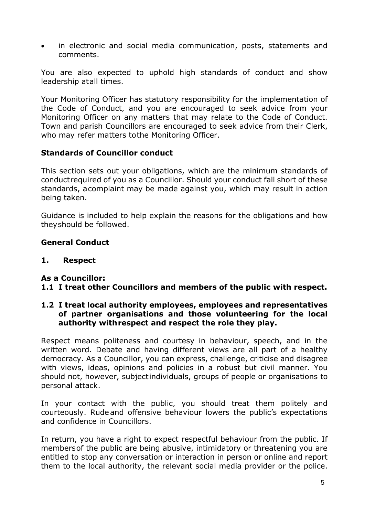in electronic and social media communication, posts, statements and comments.

You are also expected to uphold high standards of conduct and show leadership atall times.

Your Monitoring Officer has statutory responsibility for the implementation of the Code of Conduct, and you are encouraged to seek advice from your Monitoring Officer on any matters that may relate to the Code of Conduct. Town and parish Councillors are encouraged to seek advice from their Clerk, who may refer matters tothe Monitoring Officer.

#### **Standards of Councillor conduct**

This section sets out your obligations, which are the minimum standards of conductrequired of you as a Councillor. Should your conduct fall short of these standards, acomplaint may be made against you, which may result in action being taken.

Guidance is included to help explain the reasons for the obligations and how theyshould be followed.

#### **General Conduct**

**1. Respect**

#### **As a Councillor:**

#### **1.1 I treat other Councillors and members of the public with respect.**

#### **1.2 I treat local authority employees, employees and representatives of partner organisations and those volunteering for the local authority withrespect and respect the role they play.**

Respect means politeness and courtesy in behaviour, speech, and in the written word. Debate and having different views are all part of a healthy democracy. As a Councillor, you can express, challenge, criticise and disagree with views, ideas, opinions and policies in a robust but civil manner. You should not, however, subjectindividuals, groups of people or organisations to personal attack.

In your contact with the public, you should treat them politely and courteously. Rudeand offensive behaviour lowers the public's expectations and confidence in Councillors.

In return, you have a right to expect respectful behaviour from the public. If membersof the public are being abusive, intimidatory or threatening you are entitled to stop any conversation or interaction in person or online and report them to the local authority, the relevant social media provider or the police.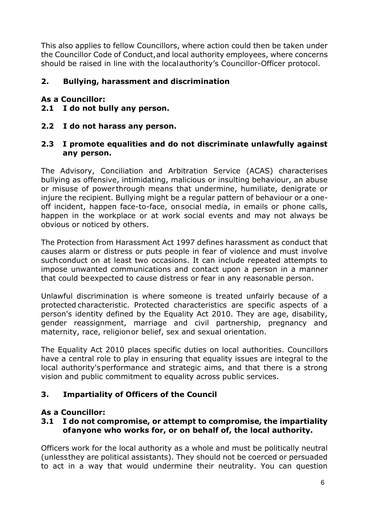This also applies to fellow Councillors, where action could then be taken under the Councillor Code of Conduct,and local authority employees, where concerns should be raised in line with the localauthority's Councillor-Officer protocol.

## **2. Bullying, harassment and discrimination**

#### **As a Councillor:**

- **2.1 I do not bully any person.**
- **2.2 I do not harass any person.**

#### **2.3 I promote equalities and do not discriminate unlawfully against any person.**

The Advisory, Conciliation and Arbitration Service (ACAS) characterises bullying as offensive, intimidating, malicious or insulting behaviour, an abuse or misuse of power through means that undermine, humiliate, denigrate or injure the recipient. Bullying might be a regular pattern of behaviour or a oneoff incident, happen face-to-face, onsocial media, in emails or phone calls, happen in the workplace or at work social events and may not always be obvious or noticed by others.

The Protection from Harassment Act 1997 defines harassment as conduct that causes alarm or distress or puts people in fear of violence and must involve such conduct on at least two occasions. It can include repeated attempts to impose unwanted communications and contact upon a person in a manner that could beexpected to cause distress or fear in any reasonable person.

Unlawful discrimination is where someone is treated unfairly because of a protected characteristic. Protected characteristics are specific aspects of a person's identity defined by the Equality Act 2010. They are age, disability, gender reassignment, marriage and civil partnership, pregnancy and maternity, race, religionor belief, sex and sexual orientation.

The Equality Act 2010 places specific duties on local authorities. Councillors have a central role to play in ensuring that equality issues are integral to the local authority'sperformance and strategic aims, and that there is a strong vision and public commitment to equality across public services.

#### **3. Impartiality of Officers of the Council**

#### **As a Councillor:**

#### **3.1 I do not compromise, or attempt to compromise, the impartiality ofanyone who works for, or on behalf of, the local authority.**

Officers work for the local authority as a whole and must be politically neutral (unlessthey are political assistants). They should not be coerced or persuaded to act in a way that would undermine their neutrality. You can question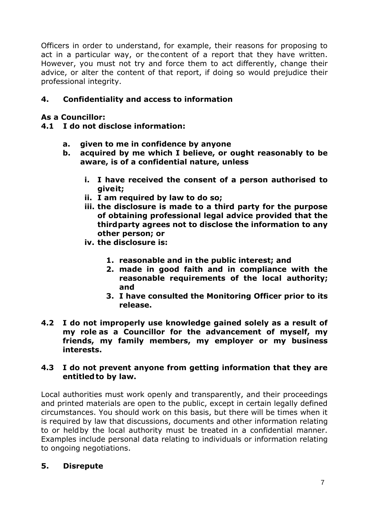Officers in order to understand, for example, their reasons for proposing to act in a particular way, or the content of a report that they have written. However, you must not try and force them to act differently, change their advice, or alter the content of that report, if doing so would prejudice their professional integrity.

## **4. Confidentiality and access to information**

#### **As a Councillor:**

- **4.1 I do not disclose information:**
	- **a. given to me in confidence by anyone**
	- **b. acquired by me which I believe, or ought reasonably to be aware, is of a confidential nature, unless**
		- **i. I have received the consent of a person authorised to giveit;**
		- **ii. I am required by law to do so;**
		- **iii. the disclosure is made to a third party for the purpose of obtaining professional legal advice provided that the thirdparty agrees not to disclose the information to any other person; or**
		- **iv. the disclosure is:**
			- **1. reasonable and in the public interest; and**
			- **2. made in good faith and in compliance with the reasonable requirements of the local authority; and**
			- **3. I have consulted the Monitoring Officer prior to its release.**
- **4.2 I do not improperly use knowledge gained solely as a result of my role as a Councillor for the advancement of myself, my friends, my family members, my employer or my business interests.**

#### **4.3 I do not prevent anyone from getting information that they are entitledto by law.**

Local authorities must work openly and transparently, and their proceedings and printed materials are open to the public, except in certain legally defined circumstances. You should work on this basis, but there will be times when it is required by law that discussions, documents and other information relating to or heldby the local authority must be treated in a confidential manner. Examples include personal data relating to individuals or information relating to ongoing negotiations.

#### **5. Disrepute**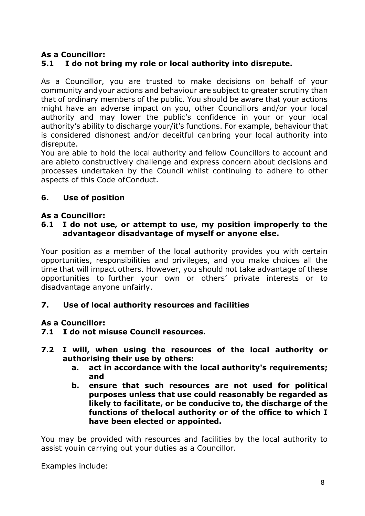# **As a Councillor:**

# **5.1 I do not bring my role or local authority into disrepute.**

As a Councillor, you are trusted to make decisions on behalf of your community andyour actions and behaviour are subject to greater scrutiny than that of ordinary members of the public. You should be aware that your actions might have an adverse impact on you, other Councillors and/or your local authority and may lower the public's confidence in your or your local authority's ability to discharge your/it's functions. For example, behaviour that is considered dishonest and/or deceitful canbring your local authority into disrepute.

You are able to hold the local authority and fellow Councillors to account and are ableto constructively challenge and express concern about decisions and processes undertaken by the Council whilst continuing to adhere to other aspects of this Code ofConduct.

#### **6. Use of position**

#### **As a Councillor:**

#### **6.1 I do not use, or attempt to use, my position improperly to the advantageor disadvantage of myself or anyone else.**

Your position as a member of the local authority provides you with certain opportunities, responsibilities and privileges, and you make choices all the time that will impact others. However, you should not take advantage of these opportunities to further your own or others' private interests or to disadvantage anyone unfairly.

#### **7. Use of local authority resources and facilities**

#### **As a Councillor:**

- **7.1 I do not misuse Council resources.**
- **7.2 I will, when using the resources of the local authority or authorising their use by others:**
	- **a. act in accordance with the local authority's requirements; and**
	- **b. ensure that such resources are not used for political purposes unless that use could reasonably be regarded as likely to facilitate, or be conducive to, the discharge of the functions of thelocal authority or of the office to which I have been elected or appointed.**

You may be provided with resources and facilities by the local authority to assist youin carrying out your duties as a Councillor.

Examples include: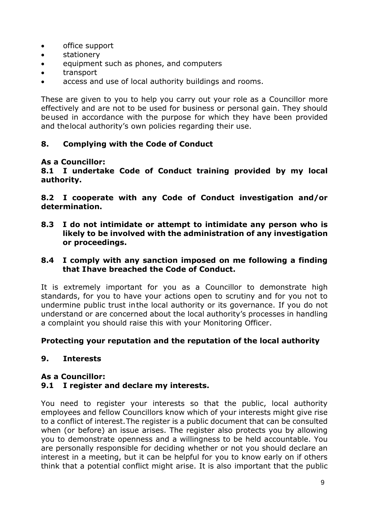- office support
- stationery
- equipment such as phones, and computers
- transport
- access and use of local authority buildings and rooms.

These are given to you to help you carry out your role as a Councillor more effectively and are not to be used for business or personal gain. They should beused in accordance with the purpose for which they have been provided and thelocal authority's own policies regarding their use.

#### **8. Complying with the Code of Conduct**

#### **As a Councillor:**

**8.1 I undertake Code of Conduct training provided by my local authority.**

**8.2 I cooperate with any Code of Conduct investigation and/or determination.**

**8.3 I do not intimidate or attempt to intimidate any person who is likely to be involved with the administration of any investigation or proceedings.**

#### **8.4 I comply with any sanction imposed on me following a finding that Ihave breached the Code of Conduct.**

It is extremely important for you as a Councillor to demonstrate high standards, for you to have your actions open to scrutiny and for you not to undermine public trust inthe local authority or its governance. If you do not understand or are concerned about the local authority's processes in handling a complaint you should raise this with your Monitoring Officer.

#### **Protecting your reputation and the reputation of the local authority**

#### **9. Interests**

#### **As a Councillor:**

#### **9.1 I register and declare my interests.**

You need to register your interests so that the public, local authority employees and fellow Councillors know which of your interests might give rise to a conflict of interest.The register is a public document that can be consulted when (or before) an issue arises. The register also protects you by allowing you to demonstrate openness and a willingness to be held accountable. You are personally responsible for deciding whether or not you should declare an interest in a meeting, but it can be helpful for you to know early on if others think that a potential conflict might arise. It is also important that the public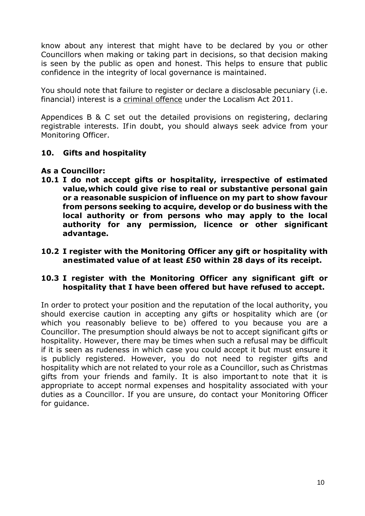know about any interest that might have to be declared by you or other Councillors when making or taking part in decisions, so that decision making is seen by the public as open and honest. This helps to ensure that public confidence in the integrity of local governance is maintained.

You should note that failure to register or declare a disclosable pecuniary (i.e. financial) interest is a criminal offence under the Localism Act 2011.

Appendices B & C set out the detailed provisions on registering, declaring registrable interests. Ifin doubt, you should always seek advice from your Monitoring Officer.

## **10. Gifts and hospitality**

#### **As a Councillor:**

- **10.1 I do not accept gifts or hospitality, irrespective of estimated value,which could give rise to real or substantive personal gain or a reasonable suspicion of influence on my part to show favour from persons seeking to acquire, develop or do business with the local authority or from persons who may apply to the local authority for any permission, licence or other significant advantage.**
- **10.2 I register with the Monitoring Officer any gift or hospitality with anestimated value of at least £50 within 28 days of its receipt.**

#### **10.3 I register with the Monitoring Officer any significant gift or hospitality that I have been offered but have refused to accept.**

In order to protect your position and the reputation of the local authority, you should exercise caution in accepting any gifts or hospitality which are (or which you reasonably believe to be) offered to you because you are a Councillor. The presumption should always be not to accept significant gifts or hospitality. However, there may be times when such a refusal may be difficult if it is seen as rudeness in which case you could accept it but must ensure it is publicly registered. However, you do not need to register gifts and hospitality which are not related to your role as a Councillor, such as Christmas gifts from your friends and family. It is also important to note that it is appropriate to accept normal expenses and hospitality associated with your duties as a Councillor. If you are unsure, do contact your Monitoring Officer for guidance.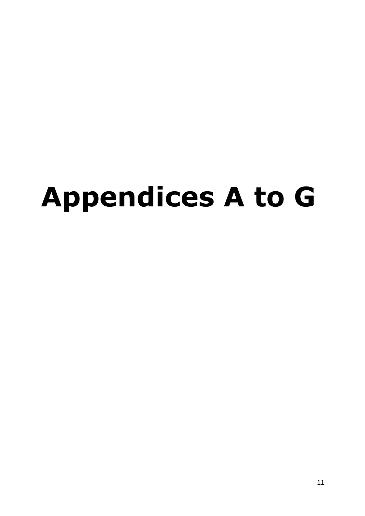# **Appendices A to G**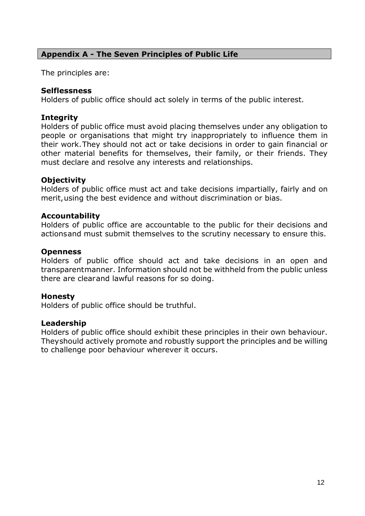#### **Appendix A - The Seven Principles of Public Life**

The principles are:

#### **Selflessness**

Holders of public office should act solely in terms of the public interest.

#### **Integrity**

Holders of public office must avoid placing themselves under any obligation to people or organisations that might try inappropriately to influence them in their work.They should not act or take decisions in order to gain financial or other material benefits for themselves, their family, or their friends. They must declare and resolve any interests and relationships.

#### **Objectivity**

Holders of public office must act and take decisions impartially, fairly and on merit,using the best evidence and without discrimination or bias.

#### **Accountability**

Holders of public office are accountable to the public for their decisions and actionsand must submit themselves to the scrutiny necessary to ensure this.

#### **Openness**

Holders of public office should act and take decisions in an open and transparentmanner. Information should not be withheld from the public unless there are clearand lawful reasons for so doing.

#### **Honesty**

Holders of public office should be truthful.

#### **Leadership**

Holders of public office should exhibit these principles in their own behaviour. Theyshould actively promote and robustly support the principles and be willing to challenge poor behaviour wherever it occurs.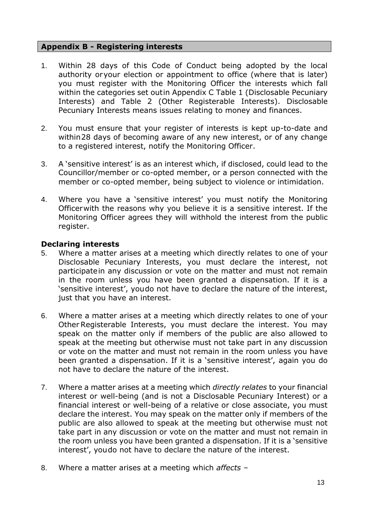#### **Appendix B - Registering interests**

- 1. Within 28 days of this Code of Conduct being adopted by the local authority oryour election or appointment to office (where that is later) you must register with the Monitoring Officer the interests which fall within the categories set outin Appendix C Table 1 (Disclosable Pecuniary Interests) and Table 2 (Other Registerable Interests). Disclosable Pecuniary Interests means issues relating to money and finances.
- 2. You must ensure that your register of interests is kept up-to-date and within28 days of becoming aware of any new interest, or of any change to a registered interest, notify the Monitoring Officer.
- 3. A 'sensitive interest' is as an interest which, if disclosed, could lead to the Councillor/member or co-opted member, or a person connected with the member or co-opted member, being subject to violence or intimidation.
- 4. Where you have a 'sensitive interest' you must notify the Monitoring Officerwith the reasons why you believe it is a sensitive interest. If the Monitoring Officer agrees they will withhold the interest from the public register.

#### **Declaring interests**

- 5. Where a matter arises at a meeting which directly relates to one of your Disclosable Pecuniary Interests, you must declare the interest, not participatein any discussion or vote on the matter and must not remain in the room unless you have been granted a dispensation. If it is a 'sensitive interest', youdo not have to declare the nature of the interest, just that you have an interest.
- 6. Where a matter arises at a meeting which directly relates to one of your Other Registerable Interests, you must declare the interest. You may speak on the matter only if members of the public are also allowed to speak at the meeting but otherwise must not take part in any discussion or vote on the matter and must not remain in the room unless you have been granted a dispensation. If it is a 'sensitive interest', again you do not have to declare the nature of the interest.
- 7. Where a matter arises at a meeting which *directly relates* to your financial interest or well-being (and is not a Disclosable Pecuniary Interest) or a financial interest or well-being of a relative or close associate, you must declare the interest. You may speak on the matter only if members of the public are also allowed to speak at the meeting but otherwise must not take part in any discussion or vote on the matter and must not remain in the room unless you have been granted a dispensation. If it is a 'sensitive interest', youdo not have to declare the nature of the interest.
- 8. Where a matter arises at a meeting which *affects* –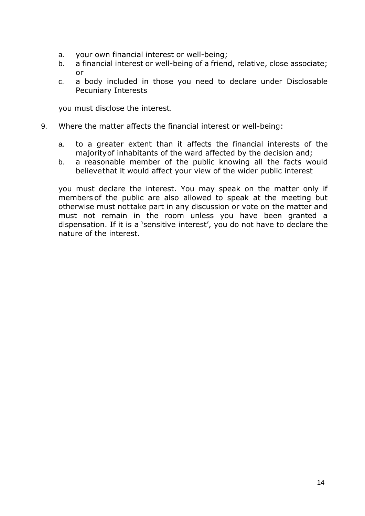- a. your own financial interest or well-being;
- b. a financial interest or well-being of a friend, relative, close associate; or
- c. a body included in those you need to declare under Disclosable Pecuniary Interests

you must disclose the interest.

- 9. Where the matter affects the financial interest or well-being:
	- a. to a greater extent than it affects the financial interests of the majorityof inhabitants of the ward affected by the decision and;
	- b. a reasonable member of the public knowing all the facts would believethat it would affect your view of the wider public interest

you must declare the interest. You may speak on the matter only if members of the public are also allowed to speak at the meeting but otherwise must nottake part in any discussion or vote on the matter and must not remain in the room unless you have been granted a dispensation. If it is a 'sensitive interest', you do not have to declare the nature of the interest.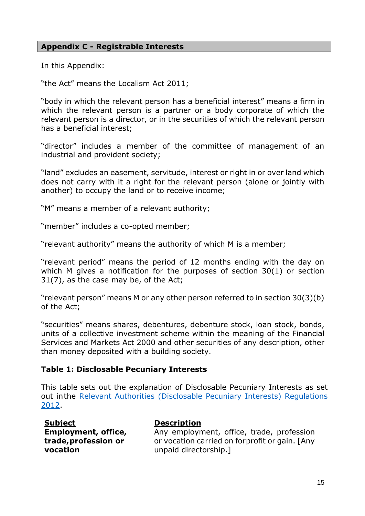#### **Appendix C - Registrable Interests**

In this Appendix:

"the Act" means the Localism Act 2011;

"body in which the relevant person has a beneficial interest" means a firm in which the relevant person is a partner or a body corporate of which the relevant person is a director, or in the securities of which the relevant person has a beneficial interest;

"director" includes a member of the committee of management of an industrial and provident society;

"land" excludes an easement, servitude, interest or right in or over land which does not carry with it a right for the relevant person (alone or jointly with another) to occupy the land or to receive income;

"M" means a member of a relevant authority;

"member" includes a co-opted member;

"relevant authority" means the authority of which M is a member;

"relevant period" means the period of 12 months ending with the day on which M gives a notification for the purposes of section 30(1) or section 31(7), as the case may be, of the Act;

"relevant person" means M or any other person referred to in section 30(3)(b) of the Act;

"securities" means shares, debentures, debenture stock, loan stock, bonds, units of a collective investment scheme within the meaning of the Financial Services and Markets Act 2000 and other securities of any description, other than money deposited with a building society.

#### **Table 1: Disclosable Pecuniary Interests**

This table sets out the explanation of Disclosable Pecuniary Interests as set out inthe Relevant Authorities [\(Disclosable](https://www.legislation.gov.uk/uksi/2012/1464/made) Pecuniary Interests) Regulations [2012.](https://www.legislation.gov.uk/uksi/2012/1464/made)

| <b>Subject</b>             | <b>Description</b>                             |
|----------------------------|------------------------------------------------|
| <b>Employment, office,</b> | Any employment, office, trade, profession      |
| trade, profession or       | or vocation carried on forprofit or gain. [Any |
| vocation                   | unpaid directorship.]                          |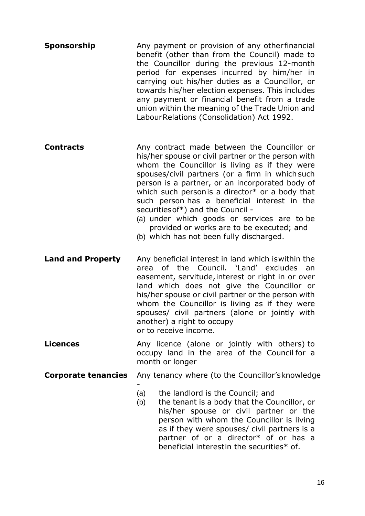- **Sponsorship** Any payment or provision of any other financial benefit (other than from the Council) made to the Councillor during the previous 12-month period for expenses incurred by him/her in carrying out his/her duties as a Councillor, or towards his/her election expenses. This includes any payment or financial benefit from a trade union within the meaning of the Trade Union and LabourRelations (Consolidation) Act 1992.
- **Contracts Any contract made between the Councillor or** his/her spouse or civil partner or the person with whom the Councillor is living as if they were spouses/civil partners (or a firm in which such person is a partner, or an incorporated body of which such personis a director\* or a body that such person has a beneficial interest in the securitiesof\*) and the Council -
	- (a) under which goods or services are to be provided or works are to be executed; and
	- (b) which has not been fully discharged.
- **Land and Property** Any beneficial interest in land which is within the area of the Council. 'Land' excludes an easement, servitude, interest or right in or over land which does not give the Councillor or his/her spouse or civil partner or the person with whom the Councillor is living as if they were spouses/ civil partners (alone or jointly with another) a right to occupy or to receive income.
- **Licences Any licence (alone or jointly with others) to** occupy land in the area of the Council for a month or longer
- **Corporate tenancies** Any tenancy where (to the Councillor'sknowledge)

-

- (a) the landlord is the Council; and
- (b) the tenant is a body that the Councillor, or his/her spouse or civil partner or the person with whom the Councillor is living as if they were spouses/ civil partners is a partner of or a director\* of or has a beneficial interestin the securities\* of.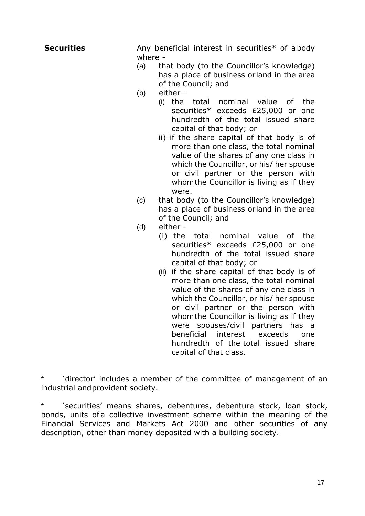Any beneficial interest in securities\* of a body where -

- (a) that body (to the Councillor's knowledge) has a place of business or land in the area of the Council; and
- (b) either—
	- (i) the total nominal value of the securities\* exceeds £25,000 or one hundredth of the total issued share capital of that body; or
	- ii) if the share capital of that body is of more than one class, the total nominal value of the shares of any one class in which the Councillor, or his/ her spouse or civil partner or the person with whomthe Councillor is living as if they were.
- (c) that body (to the Councillor's knowledge) has a place of business or land in the area of the Council; and
- (d) either
	- (i) the total nominal value of the securities\* exceeds £25,000 or one hundredth of the total issued share capital of that body; or
	- (ii) if the share capital of that body is of more than one class, the total nominal value of the shares of any one class in which the Councillor, or his/ her spouse or civil partner or the person with whomthe Councillor is living as if they were spouses/civil partners has a beneficial interest exceeds one hundredth of the total issued share capital of that class.

'director' includes a member of the committee of management of an industrial andprovident society.

'securities' means shares, debentures, debenture stock, loan stock, bonds, units of a collective investment scheme within the meaning of the Financial Services and Markets Act 2000 and other securities of any description, other than money deposited with a building society.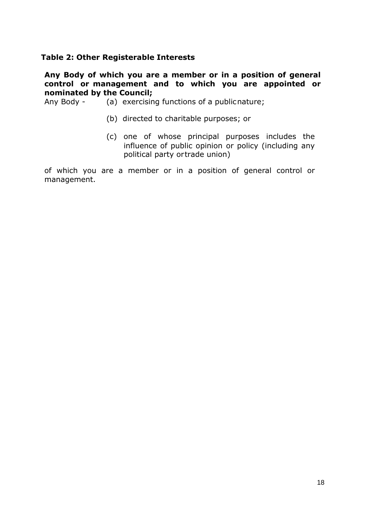#### **Table 2: Other Registerable Interests**

#### **Any Body of which you are a member or in a position of general control or management and to which you are appointed or nominated by the Council;**

Any Body - (a) exercising functions of a publicnature;

- (b) directed to charitable purposes; or
- (c) one of whose principal purposes includes the influence of public opinion or policy (including any political party ortrade union)

of which you are a member or in a position of general control or management.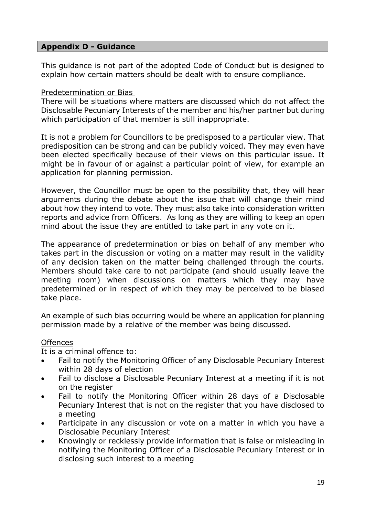#### **Appendix D - Guidance**

This guidance is not part of the adopted Code of Conduct but is designed to explain how certain matters should be dealt with to ensure compliance.

#### Predetermination or Bias

There will be situations where matters are discussed which do not affect the Disclosable Pecuniary Interests of the member and his/her partner but during which participation of that member is still inappropriate.

It is not a problem for Councillors to be predisposed to a particular view. That predisposition can be strong and can be publicly voiced. They may even have been elected specifically because of their views on this particular issue. It might be in favour of or against a particular point of view, for example an application for planning permission.

However, the Councillor must be open to the possibility that, they will hear arguments during the debate about the issue that will change their mind about how they intend to vote. They must also take into consideration written reports and advice from Officers. As long as they are willing to keep an open mind about the issue they are entitled to take part in any vote on it.

The appearance of predetermination or bias on behalf of any member who takes part in the discussion or voting on a matter may result in the validity of any decision taken on the matter being challenged through the courts. Members should take care to not participate (and should usually leave the meeting room) when discussions on matters which they may have predetermined or in respect of which they may be perceived to be biased take place.

An example of such bias occurring would be where an application for planning permission made by a relative of the member was being discussed.

#### Offences

It is a criminal offence to:

- Fail to notify the Monitoring Officer of any Disclosable Pecuniary Interest within 28 days of election
- Fail to disclose a Disclosable Pecuniary Interest at a meeting if it is not on the register
- Fail to notify the Monitoring Officer within 28 days of a Disclosable Pecuniary Interest that is not on the register that you have disclosed to a meeting
- Participate in any discussion or vote on a matter in which you have a Disclosable Pecuniary Interest
- Knowingly or recklessly provide information that is false or misleading in notifying the Monitoring Officer of a Disclosable Pecuniary Interest or in disclosing such interest to a meeting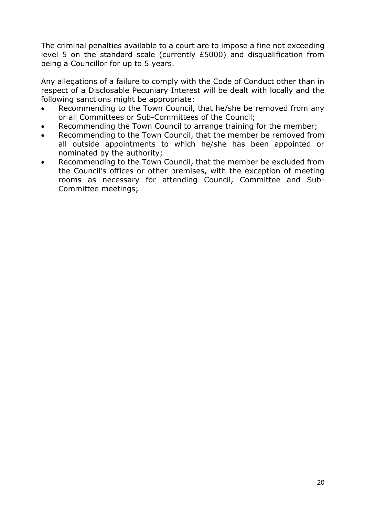The criminal penalties available to a court are to impose a fine not exceeding level 5 on the standard scale (currently £5000) and disqualification from being a Councillor for up to 5 years.

Any allegations of a failure to comply with the Code of Conduct other than in respect of a Disclosable Pecuniary Interest will be dealt with locally and the following sanctions might be appropriate:

- Recommending to the Town Council, that he/she be removed from any or all Committees or Sub-Committees of the Council;
- Recommending the Town Council to arrange training for the member;
- Recommending to the Town Council, that the member be removed from all outside appointments to which he/she has been appointed or nominated by the authority;
- Recommending to the Town Council, that the member be excluded from the Council's offices or other premises, with the exception of meeting rooms as necessary for attending Council, Committee and Sub-Committee meetings;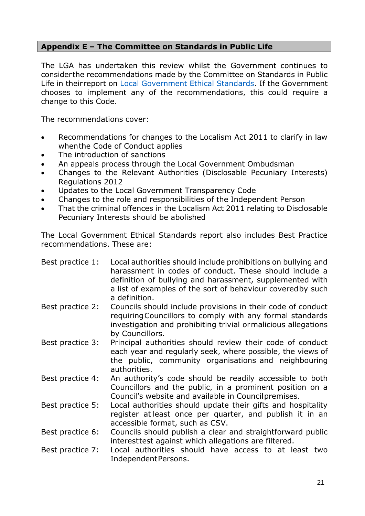## **Appendix E – The Committee on Standards in Public Life**

The LGA has undertaken this review whilst the Government continues to considerthe recommendations made by the Committee on Standards in Public Life in theirreport on **Local Government Ethical Standards**. If the Government chooses to implement any of the recommendations, this could require a change to this Code.

The recommendations cover:

- Recommendations for changes to the Localism Act 2011 to clarify in law whenthe Code of Conduct applies
- The introduction of sanctions
- An appeals process through the Local Government Ombudsman
- Changes to the Relevant Authorities (Disclosable Pecuniary Interests) Regulations 2012
- Updates to the Local Government Transparency Code
- Changes to the role and responsibilities of the Independent Person
- That the criminal offences in the Localism Act 2011 relating to Disclosable Pecuniary Interests should be abolished

The Local Government Ethical Standards report also includes Best Practice recommendations. These are:

| Best practice 1: | Local authorities should include prohibitions on bullying and<br>harassment in codes of conduct. These should include a<br>definition of bullying and harassment, supplemented with<br>a list of examples of the sort of behaviour covered by such<br>a definition. |
|------------------|---------------------------------------------------------------------------------------------------------------------------------------------------------------------------------------------------------------------------------------------------------------------|
| Best practice 2: | Councils should include provisions in their code of conduct<br>requiring Councillors to comply with any formal standards<br>investigation and prohibiting trivial ormalicious allegations<br>by Councillors.                                                        |
| Best practice 3: | Principal authorities should review their code of conduct<br>each year and regularly seek, where possible, the views of<br>the public, community organisations and neighbouring<br>authorities.                                                                     |
| Best practice 4: | An authority's code should be readily accessible to both<br>Councillors and the public, in a prominent position on a<br>Council's website and available in Council premises.                                                                                        |
| Best practice 5: | Local authorities should update their gifts and hospitality<br>register at least once per quarter, and publish it in an<br>accessible format, such as CSV.                                                                                                          |
| Best practice 6: | Councils should publish a clear and straightforward public<br>interesttest against which allegations are filtered.                                                                                                                                                  |
| Best practice 7: | Local authorities should have access to at least two<br>Independent Persons.                                                                                                                                                                                        |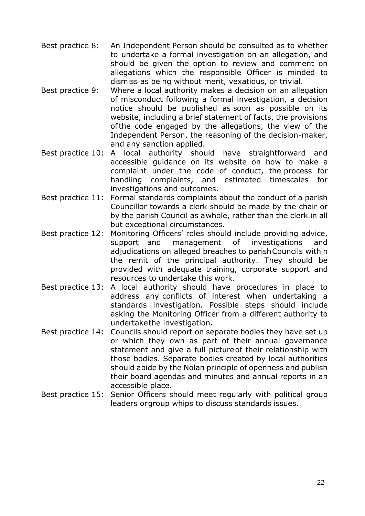- Best practice 8: An Independent Person should be consulted as to whether to undertake a formal investigation on an allegation, and should be given the option to review and comment on allegations which the responsible Officer is minded to dismiss as being without merit, vexatious, or trivial.
- Best practice 9: Where a local authority makes a decision on an allegation of misconduct following a formal investigation, a decision notice should be published as soon as possible on its website, including a brief statement of facts, the provisions ofthe code engaged by the allegations, the view of the Independent Person, the reasoning of the decision-maker, and any sanction applied.
- Best practice 10: A local authority should have straightforward and accessible guidance on its website on how to make a complaint under the code of conduct, the process for handling complaints, and estimated timescales for investigations and outcomes.
- Best practice 11: Formal standards complaints about the conduct of a parish Councillor towards a clerk should be made by the chair or by the parish Council as awhole, rather than the clerk in all but exceptional circumstances.
- Best practice 12: Monitoring Officers' roles should include providing advice, support and management of investigations and adjudications on alleged breaches to parishCouncils within the remit of the principal authority. They should be provided with adequate training, corporate support and resources to undertake this work.
- Best practice 13: A local authority should have procedures in place to address any conflicts of interest when undertaking a standards investigation. Possible steps should include asking the Monitoring Officer from a different authority to undertakethe investigation.
- Best practice 14: Councils should report on separate bodies they have set up or which they own as part of their annual governance statement and give a full pictureof their relationship with those bodies. Separate bodies created by local authorities should abide by the Nolan principle of openness and publish their board agendas and minutes and annual reports in an accessible place.
- Best practice 15: Senior Officers should meet regularly with political group leaders orgroup whips to discuss standards issues.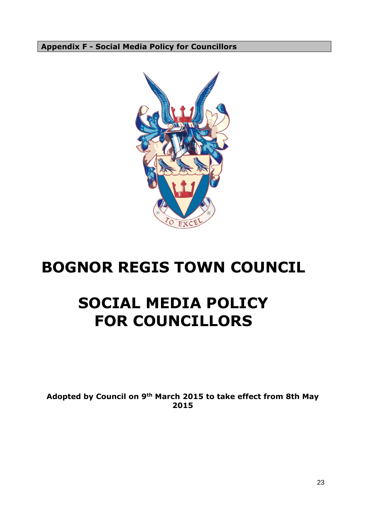**Appendix F - Social Media Policy for Councillors**



# **BOGNOR REGIS TOWN COUNCIL**

# **SOCIAL MEDIA POLICY FOR COUNCILLORS**

**Adopted by Council on 9th March 2015 to take effect from 8th May 2015**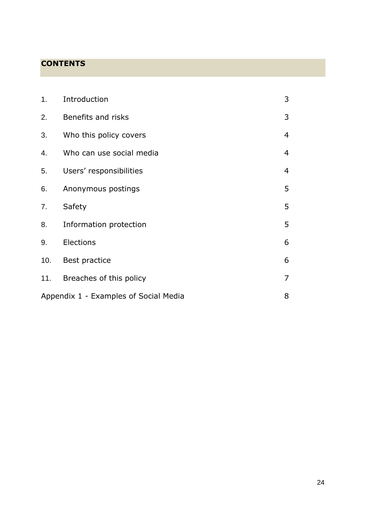# **CONTENTS**

| 1.  | Introduction                          | 3              |
|-----|---------------------------------------|----------------|
| 2.  | Benefits and risks                    | 3              |
| 3.  | Who this policy covers                | $\overline{4}$ |
| 4.  | Who can use social media              | $\overline{4}$ |
| 5.  | Users' responsibilities               | $\overline{4}$ |
| 6.  | Anonymous postings                    | 5              |
| 7.  | Safety                                | 5              |
| 8.  | Information protection                | 5              |
| 9.  | Elections                             | 6              |
| 10. | Best practice                         | 6              |
| 11. | Breaches of this policy               | $\overline{7}$ |
|     | Appendix 1 - Examples of Social Media |                |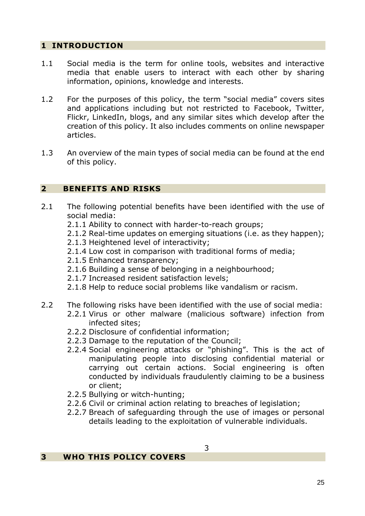#### **1 INTRODUCTION**

- 1.1 Social media is the term for online tools, websites and interactive media that enable users to interact with each other by sharing information, opinions, knowledge and interests.
- 1.2 For the purposes of this policy, the term "social media" covers sites and applications including but not restricted to Facebook, Twitter, Flickr, LinkedIn, blogs, and any similar sites which develop after the creation of this policy. It also includes comments on online newspaper articles.
- 1.3 An overview of the main types of social media can be found at the end of this policy.

#### **2 BENEFITS AND RISKS**

- 2.1 The following potential benefits have been identified with the use of social media:
	- 2.1.1 Ability to connect with harder-to-reach groups;
	- 2.1.2 Real-time updates on emerging situations (i.e. as they happen);
	- 2.1.3 Heightened level of interactivity;
	- 2.1.4 Low cost in comparison with traditional forms of media;
	- 2.1.5 Enhanced transparency;
	- 2.1.6 Building a sense of belonging in a neighbourhood;
	- 2.1.7 Increased resident satisfaction levels;
	- 2.1.8 Help to reduce social problems like vandalism or racism.
- 2.2 The following risks have been identified with the use of social media:
	- 2.2.1 Virus or other malware (malicious software) infection from infected sites;
	- 2.2.2 Disclosure of confidential information;
	- 2.2.3 Damage to the reputation of the Council;
	- 2.2.4 Social engineering attacks or "phishing". This is the act of manipulating people into disclosing confidential material or carrying out certain actions. Social engineering is often conducted by individuals fraudulently claiming to be a business or client;
	- 2.2.5 Bullying or witch-hunting;
	- 2.2.6 Civil or criminal action relating to breaches of legislation;
	- 2.2.7 Breach of safeguarding through the use of images or personal details leading to the exploitation of vulnerable individuals.

#### **3 WHO THIS POLICY COVERS**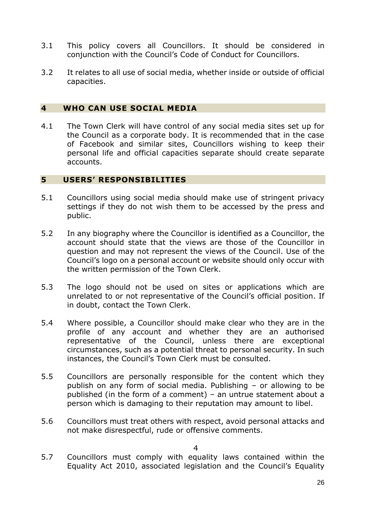- 3.1 This policy covers all Councillors. It should be considered in conjunction with the Council's Code of Conduct for Councillors.
- 3.2 It relates to all use of social media, whether inside or outside of official capacities.

#### **4 WHO CAN USE SOCIAL MEDIA**

4.1 The Town Clerk will have control of any social media sites set up for the Council as a corporate body. It is recommended that in the case of Facebook and similar sites, Councillors wishing to keep their personal life and official capacities separate should create separate accounts.

#### **5 USERS' RESPONSIBILITIES**

- 5.1 Councillors using social media should make use of stringent privacy settings if they do not wish them to be accessed by the press and public.
- 5.2 In any biography where the Councillor is identified as a Councillor, the account should state that the views are those of the Councillor in question and may not represent the views of the Council. Use of the Council's logo on a personal account or website should only occur with the written permission of the Town Clerk.
- 5.3 The logo should not be used on sites or applications which are unrelated to or not representative of the Council's official position. If in doubt, contact the Town Clerk.
- 5.4 Where possible, a Councillor should make clear who they are in the profile of any account and whether they are an authorised representative of the Council, unless there are exceptional circumstances, such as a potential threat to personal security. In such instances, the Council's Town Clerk must be consulted.
- 5.5 Councillors are personally responsible for the content which they publish on any form of social media. Publishing – or allowing to be published (in the form of a comment) – an untrue statement about a person which is damaging to their reputation may amount to libel.
- 5.6 Councillors must treat others with respect, avoid personal attacks and not make disrespectful, rude or offensive comments.

4

5.7 Councillors must comply with equality laws contained within the Equality Act 2010, associated legislation and the Council's Equality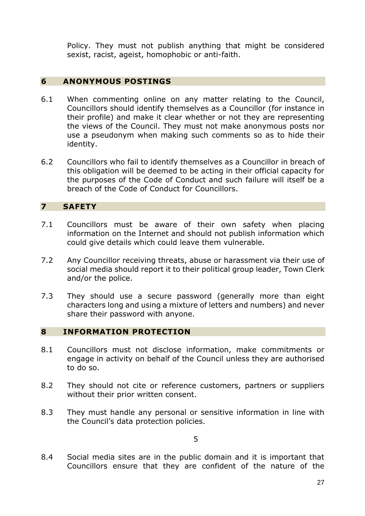Policy. They must not publish anything that might be considered sexist, racist, ageist, homophobic or anti-faith.

#### **6 ANONYMOUS POSTINGS**

- 6.1 When commenting online on any matter relating to the Council, Councillors should identify themselves as a Councillor (for instance in their profile) and make it clear whether or not they are representing the views of the Council. They must not make anonymous posts nor use a pseudonym when making such comments so as to hide their identity.
- 6.2 Councillors who fail to identify themselves as a Councillor in breach of this obligation will be deemed to be acting in their official capacity for the purposes of the Code of Conduct and such failure will itself be a breach of the Code of Conduct for Councillors.

#### **7 SAFETY**

- 7.1 Councillors must be aware of their own safety when placing information on the Internet and should not publish information which could give details which could leave them vulnerable.
- 7.2 Any Councillor receiving threats, abuse or harassment via their use of social media should report it to their political group leader, Town Clerk and/or the police.
- 7.3 They should use a secure password (generally more than eight characters long and using a mixture of letters and numbers) and never share their password with anyone.

#### **8 INFORMATION PROTECTION**

- 8.1 Councillors must not disclose information, make commitments or engage in activity on behalf of the Council unless they are authorised to do so.
- 8.2 They should not cite or reference customers, partners or suppliers without their prior written consent.
- 8.3 They must handle any personal or sensitive information in line with the Council's data protection policies.

5

8.4 Social media sites are in the public domain and it is important that Councillors ensure that they are confident of the nature of the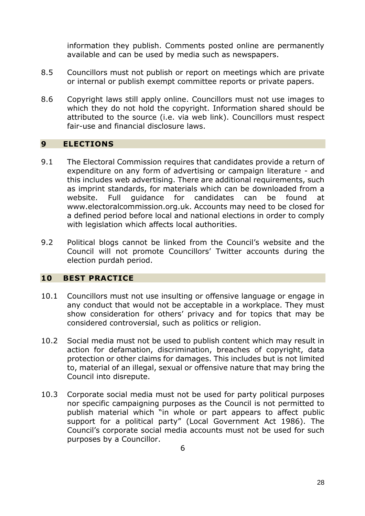information they publish. Comments posted online are permanently available and can be used by media such as newspapers.

- 8.5 Councillors must not publish or report on meetings which are private or internal or publish exempt committee reports or private papers.
- 8.6 Copyright laws still apply online. Councillors must not use images to which they do not hold the copyright. Information shared should be attributed to the source (i.e. via web link). Councillors must respect fair-use and financial disclosure laws.

#### **9 ELECTIONS**

- 9.1 The Electoral Commission requires that candidates provide a return of expenditure on any form of advertising or campaign literature - and this includes web advertising. There are additional requirements, such as imprint standards, for materials which can be downloaded from a website. Full guidance for candidates can be found at www.electoralcommission.org.uk. Accounts may need to be closed for a defined period before local and national elections in order to comply with legislation which affects local authorities.
- 9.2 Political blogs cannot be linked from the Council's website and the Council will not promote Councillors' Twitter accounts during the election purdah period.

#### **10 BEST PRACTICE**

- 10.1 Councillors must not use insulting or offensive language or engage in any conduct that would not be acceptable in a workplace. They must show consideration for others' privacy and for topics that may be considered controversial, such as politics or religion.
- 10.2 Social media must not be used to publish content which may result in action for defamation, discrimination, breaches of copyright, data protection or other claims for damages. This includes but is not limited to, material of an illegal, sexual or offensive nature that may bring the Council into disrepute.
- 10.3 Corporate social media must not be used for party political purposes nor specific campaigning purposes as the Council is not permitted to publish material which "in whole or part appears to affect public support for a political party" (Local Government Act 1986). The Council's corporate social media accounts must not be used for such purposes by a Councillor.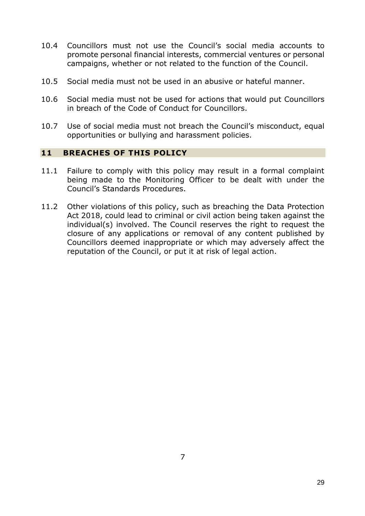- 10.4 Councillors must not use the Council's social media accounts to promote personal financial interests, commercial ventures or personal campaigns, whether or not related to the function of the Council.
- 10.5 Social media must not be used in an abusive or hateful manner.
- 10.6 Social media must not be used for actions that would put Councillors in breach of the Code of Conduct for Councillors.
- 10.7 Use of social media must not breach the Council's misconduct, equal opportunities or bullying and harassment policies.

#### **11 BREACHES OF THIS POLICY**

- 11.1 Failure to comply with this policy may result in a formal complaint being made to the Monitoring Officer to be dealt with under the Council's Standards Procedures.
- 11.2 Other violations of this policy, such as breaching the Data Protection Act 2018, could lead to criminal or civil action being taken against the individual(s) involved. The Council reserves the right to request the closure of any applications or removal of any content published by Councillors deemed inappropriate or which may adversely affect the reputation of the Council, or put it at risk of legal action.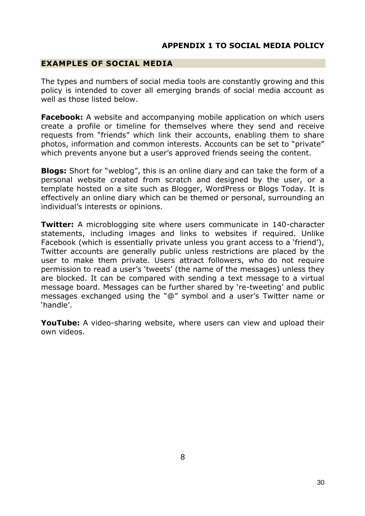#### **EXAMPLES OF SOCIAL MEDIA**

The types and numbers of social media tools are constantly growing and this policy is intended to cover all emerging brands of social media account as well as those listed below.

**Facebook:** A website and accompanying mobile application on which users create a profile or timeline for themselves where they send and receive requests from "friends" which link their accounts, enabling them to share photos, information and common interests. Accounts can be set to "private" which prevents anyone but a user's approved friends seeing the content.

**Blogs:** Short for "weblog", this is an online diary and can take the form of a personal website created from scratch and designed by the user, or a template hosted on a site such as Blogger, WordPress or Blogs Today. It is effectively an online diary which can be themed or personal, surrounding an individual's interests or opinions.

**Twitter:** A microblogging site where users communicate in 140-character statements, including images and links to websites if required. Unlike Facebook (which is essentially private unless you grant access to a 'friend'), Twitter accounts are generally public unless restrictions are placed by the user to make them private. Users attract followers, who do not require permission to read a user's 'tweets' (the name of the messages) unless they are blocked. It can be compared with sending a text message to a virtual message board. Messages can be further shared by 're-tweeting' and public messages exchanged using the "@" symbol and a user's Twitter name or 'handle'.

**YouTube:** A video-sharing website, where users can view and upload their own videos.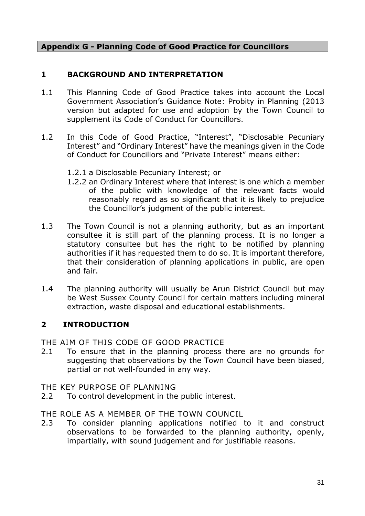#### **Appendix G - Planning Code of Good Practice for Councillors**

#### **1 BACKGROUND AND INTERPRETATION**

- 1.1 This Planning Code of Good Practice takes into account the Local Government Association's Guidance Note: Probity in Planning (2013 version but adapted for use and adoption by the Town Council to supplement its Code of Conduct for Councillors.
- 1.2 In this Code of Good Practice, "Interest", "Disclosable Pecuniary Interest" and "Ordinary Interest" have the meanings given in the Code of Conduct for Councillors and "Private Interest" means either:
	- 1.2.1 a Disclosable Pecuniary Interest; or
	- 1.2.2 an Ordinary Interest where that interest is one which a member of the public with knowledge of the relevant facts would reasonably regard as so significant that it is likely to prejudice the Councillor's judgment of the public interest.
- 1.3 The Town Council is not a planning authority, but as an important consultee it is still part of the planning process. It is no longer a statutory consultee but has the right to be notified by planning authorities if it has requested them to do so. It is important therefore, that their consideration of planning applications in public, are open and fair.
- 1.4 The planning authority will usually be Arun District Council but may be West Sussex County Council for certain matters including mineral extraction, waste disposal and educational establishments.

#### **2 INTRODUCTION**

THE AIM OF THIS CODE OF GOOD PRACTICE

2.1 To ensure that in the planning process there are no grounds for suggesting that observations by the Town Council have been biased, partial or not well-founded in any way.

#### THE KEY PURPOSE OF PLANNING

2.2 To control development in the public interest.

#### THE ROLE AS A MEMBER OF THE TOWN COUNCIL

2.3 To consider planning applications notified to it and construct observations to be forwarded to the planning authority, openly, impartially, with sound judgement and for justifiable reasons.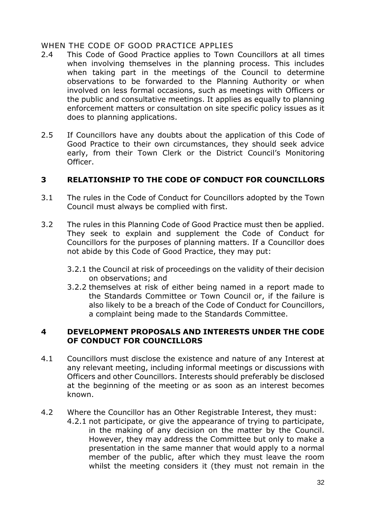#### WHEN THE CODE OF GOOD PRACTICE APPLIES

- 2.4 This Code of Good Practice applies to Town Councillors at all times when involving themselves in the planning process. This includes when taking part in the meetings of the Council to determine observations to be forwarded to the Planning Authority or when involved on less formal occasions, such as meetings with Officers or the public and consultative meetings. It applies as equally to planning enforcement matters or consultation on site specific policy issues as it does to planning applications.
- 2.5 If Councillors have any doubts about the application of this Code of Good Practice to their own circumstances, they should seek advice early, from their Town Clerk or the District Council's Monitoring Officer.

#### **3 RELATIONSHIP TO THE CODE OF CONDUCT FOR COUNCILLORS**

- 3.1 The rules in the Code of Conduct for Councillors adopted by the Town Council must always be complied with first.
- 3.2 The rules in this Planning Code of Good Practice must then be applied. They seek to explain and supplement the Code of Conduct for Councillors for the purposes of planning matters. If a Councillor does not abide by this Code of Good Practice, they may put:
	- 3.2.1 the Council at risk of proceedings on the validity of their decision on observations; and
	- 3.2.2 themselves at risk of either being named in a report made to the Standards Committee or Town Council or, if the failure is also likely to be a breach of the Code of Conduct for Councillors, a complaint being made to the Standards Committee.

#### **4 DEVELOPMENT PROPOSALS AND INTERESTS UNDER THE CODE OF CONDUCT FOR COUNCILLORS**

- 4.1 Councillors must disclose the existence and nature of any Interest at any relevant meeting, including informal meetings or discussions with Officers and other Councillors. Interests should preferably be disclosed at the beginning of the meeting or as soon as an interest becomes known.
- 4.2 Where the Councillor has an Other Registrable Interest, they must:
	- 4.2.1 not participate, or give the appearance of trying to participate, in the making of any decision on the matter by the Council. However, they may address the Committee but only to make a presentation in the same manner that would apply to a normal member of the public, after which they must leave the room whilst the meeting considers it (they must not remain in the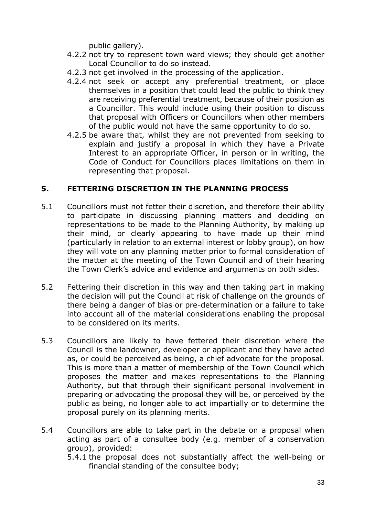public gallery).

- 4.2.2 not try to represent town ward views; they should get another Local Councillor to do so instead.
- 4.2.3 not get involved in the processing of the application.
- 4.2.4 not seek or accept any preferential treatment, or place themselves in a position that could lead the public to think they are receiving preferential treatment, because of their position as a Councillor. This would include using their position to discuss that proposal with Officers or Councillors when other members of the public would not have the same opportunity to do so.
- 4.2.5 be aware that, whilst they are not prevented from seeking to explain and justify a proposal in which they have a Private Interest to an appropriate Officer, in person or in writing, the Code of Conduct for Councillors places limitations on them in representing that proposal.

#### **5. FETTERING DISCRETION IN THE PLANNING PROCESS**

- 5.1 Councillors must not fetter their discretion, and therefore their ability to participate in discussing planning matters and deciding on representations to be made to the Planning Authority, by making up their mind, or clearly appearing to have made up their mind (particularly in relation to an external interest or lobby group), on how they will vote on any planning matter prior to formal consideration of the matter at the meeting of the Town Council and of their hearing the Town Clerk's advice and evidence and arguments on both sides.
- 5.2 Fettering their discretion in this way and then taking part in making the decision will put the Council at risk of challenge on the grounds of there being a danger of bias or pre-determination or a failure to take into account all of the material considerations enabling the proposal to be considered on its merits.
- 5.3 Councillors are likely to have fettered their discretion where the Council is the landowner, developer or applicant and they have acted as, or could be perceived as being, a chief advocate for the proposal. This is more than a matter of membership of the Town Council which proposes the matter and makes representations to the Planning Authority, but that through their significant personal involvement in preparing or advocating the proposal they will be, or perceived by the public as being, no longer able to act impartially or to determine the proposal purely on its planning merits.
- 5.4 Councillors are able to take part in the debate on a proposal when acting as part of a consultee body (e.g. member of a conservation group), provided:
	- 5.4.1 the proposal does not substantially affect the well-being or financial standing of the consultee body;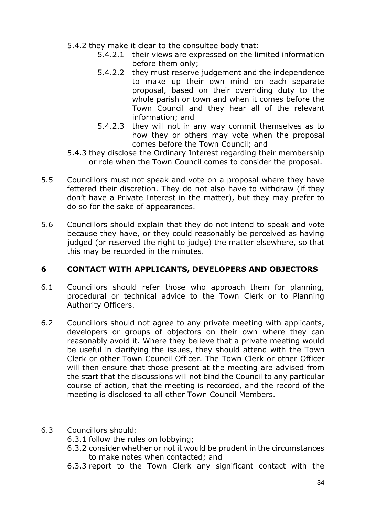- 5.4.2 they make it clear to the consultee body that:
	- 5.4.2.1 their views are expressed on the limited information before them only;
	- 5.4.2.2 they must reserve judgement and the independence to make up their own mind on each separate proposal, based on their overriding duty to the whole parish or town and when it comes before the Town Council and they hear all of the relevant information; and
	- 5.4.2.3 they will not in any way commit themselves as to how they or others may vote when the proposal comes before the Town Council; and
- 5.4.3 they disclose the Ordinary Interest regarding their membership or role when the Town Council comes to consider the proposal.
- 5.5 Councillors must not speak and vote on a proposal where they have fettered their discretion. They do not also have to withdraw (if they don't have a Private Interest in the matter), but they may prefer to do so for the sake of appearances.
- 5.6 Councillors should explain that they do not intend to speak and vote because they have, or they could reasonably be perceived as having judged (or reserved the right to judge) the matter elsewhere, so that this may be recorded in the minutes.

#### **6 CONTACT WITH APPLICANTS, DEVELOPERS AND OBJECTORS**

- 6.1 Councillors should refer those who approach them for planning, procedural or technical advice to the Town Clerk or to Planning Authority Officers.
- 6.2 Councillors should not agree to any private meeting with applicants, developers or groups of objectors on their own where they can reasonably avoid it. Where they believe that a private meeting would be useful in clarifying the issues, they should attend with the Town Clerk or other Town Council Officer. The Town Clerk or other Officer will then ensure that those present at the meeting are advised from the start that the discussions will not bind the Council to any particular course of action, that the meeting is recorded, and the record of the meeting is disclosed to all other Town Council Members.

#### 6.3 Councillors should:

- 6.3.1 follow the rules on lobbying;
- 6.3.2 consider whether or not it would be prudent in the circumstances to make notes when contacted; and
- 6.3.3 report to the Town Clerk any significant contact with the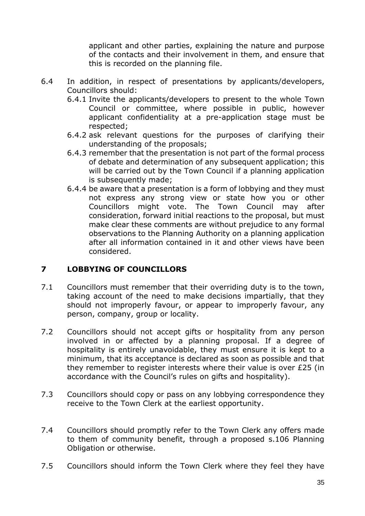applicant and other parties, explaining the nature and purpose of the contacts and their involvement in them, and ensure that this is recorded on the planning file.

- 6.4 In addition, in respect of presentations by applicants/developers, Councillors should:
	- 6.4.1 Invite the applicants/developers to present to the whole Town Council or committee, where possible in public, however applicant confidentiality at a pre-application stage must be respected;
	- 6.4.2 ask relevant questions for the purposes of clarifying their understanding of the proposals;
	- 6.4.3 remember that the presentation is not part of the formal process of debate and determination of any subsequent application; this will be carried out by the Town Council if a planning application is subsequently made;
	- 6.4.4 be aware that a presentation is a form of lobbying and they must not express any strong view or state how you or other Councillors might vote. The Town Council may after consideration, forward initial reactions to the proposal, but must make clear these comments are without prejudice to any formal observations to the Planning Authority on a planning application after all information contained in it and other views have been considered.

#### **7 LOBBYING OF COUNCILLORS**

- 7.1 Councillors must remember that their overriding duty is to the town, taking account of the need to make decisions impartially, that they should not improperly favour, or appear to improperly favour, any person, company, group or locality.
- 7.2 Councillors should not accept gifts or hospitality from any person involved in or affected by a planning proposal. If a degree of hospitality is entirely unavoidable, they must ensure it is kept to a minimum, that its acceptance is declared as soon as possible and that they remember to register interests where their value is over £25 (in accordance with the Council's rules on gifts and hospitality).
- 7.3 Councillors should copy or pass on any lobbying correspondence they receive to the Town Clerk at the earliest opportunity.
- 7.4 Councillors should promptly refer to the Town Clerk any offers made to them of community benefit, through a proposed s.106 Planning Obligation or otherwise.
- 7.5 Councillors should inform the Town Clerk where they feel they have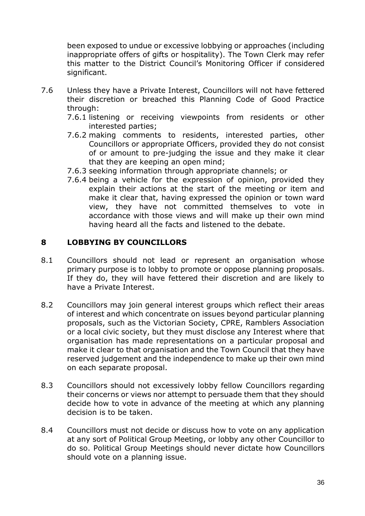been exposed to undue or excessive lobbying or approaches (including inappropriate offers of gifts or hospitality). The Town Clerk may refer this matter to the District Council's Monitoring Officer if considered significant.

- 7.6 Unless they have a Private Interest, Councillors will not have fettered their discretion or breached this Planning Code of Good Practice through:
	- 7.6.1 listening or receiving viewpoints from residents or other interested parties;
	- 7.6.2 making comments to residents, interested parties, other Councillors or appropriate Officers, provided they do not consist of or amount to pre-judging the issue and they make it clear that they are keeping an open mind;
	- 7.6.3 seeking information through appropriate channels; or
	- 7.6.4 being a vehicle for the expression of opinion, provided they explain their actions at the start of the meeting or item and make it clear that, having expressed the opinion or town ward view, they have not committed themselves to vote in accordance with those views and will make up their own mind having heard all the facts and listened to the debate.

#### **8 LOBBYING BY COUNCILLORS**

- 8.1 Councillors should not lead or represent an organisation whose primary purpose is to lobby to promote or oppose planning proposals. If they do, they will have fettered their discretion and are likely to have a Private Interest.
- 8.2 Councillors may join general interest groups which reflect their areas of interest and which concentrate on issues beyond particular planning proposals, such as the Victorian Society, CPRE, Ramblers Association or a local civic society, but they must disclose any Interest where that organisation has made representations on a particular proposal and make it clear to that organisation and the Town Council that they have reserved judgement and the independence to make up their own mind on each separate proposal.
- 8.3 Councillors should not excessively lobby fellow Councillors regarding their concerns or views nor attempt to persuade them that they should decide how to vote in advance of the meeting at which any planning decision is to be taken.
- 8.4 Councillors must not decide or discuss how to vote on any application at any sort of Political Group Meeting, or lobby any other Councillor to do so. Political Group Meetings should never dictate how Councillors should vote on a planning issue.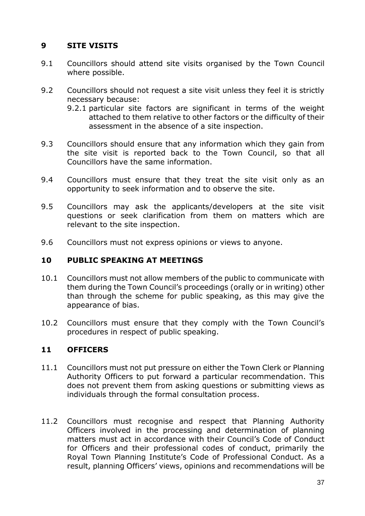## **9 SITE VISITS**

- 9.1 Councillors should attend site visits organised by the Town Council where possible.
- 9.2 Councillors should not request a site visit unless they feel it is strictly necessary because:
	- 9.2.1 particular site factors are significant in terms of the weight attached to them relative to other factors or the difficulty of their assessment in the absence of a site inspection.
- 9.3 Councillors should ensure that any information which they gain from the site visit is reported back to the Town Council, so that all Councillors have the same information.
- 9.4 Councillors must ensure that they treat the site visit only as an opportunity to seek information and to observe the site.
- 9.5 Councillors may ask the applicants/developers at the site visit questions or seek clarification from them on matters which are relevant to the site inspection.
- 9.6 Councillors must not express opinions or views to anyone.

#### **10 PUBLIC SPEAKING AT MEETINGS**

- 10.1 Councillors must not allow members of the public to communicate with them during the Town Council's proceedings (orally or in writing) other than through the scheme for public speaking, as this may give the appearance of bias.
- 10.2 Councillors must ensure that they comply with the Town Council's procedures in respect of public speaking.

#### **11 OFFICERS**

- 11.1 Councillors must not put pressure on either the Town Clerk or Planning Authority Officers to put forward a particular recommendation. This does not prevent them from asking questions or submitting views as individuals through the formal consultation process.
- 11.2 Councillors must recognise and respect that Planning Authority Officers involved in the processing and determination of planning matters must act in accordance with their Council's Code of Conduct for Officers and their professional codes of conduct, primarily the Royal Town Planning Institute's Code of Professional Conduct. As a result, planning Officers' views, opinions and recommendations will be